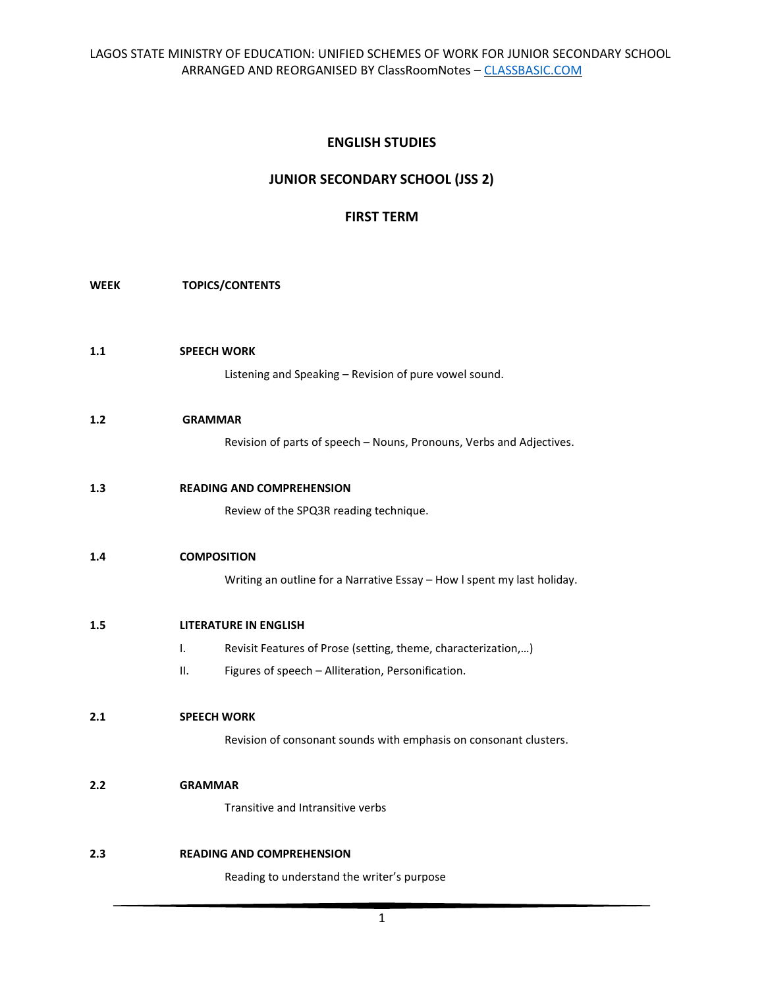# **ENGLISH STUDIES**

# **JUNIOR SECONDARY SCHOOL (JSS 2)**

# **FIRST TERM**

## **WEEK TOPICS/CONTENTS**

**1.1 SPEECH WORK**  Listening and Speaking – Revision of pure vowel sound.

#### **1.2 GRAMMAR**

Revision of parts of speech – Nouns, Pronouns, Verbs and Adjectives.

# **1.3 READING AND COMPREHENSION**

Review of the SPQ3R reading technique.

## **1.4 COMPOSITION**

Writing an outline for a Narrative Essay – How l spent my last holiday.

## **1.5 LITERATURE IN ENGLISH**

- I. Revisit Features of Prose (setting, theme, characterization,…)
- II. Figures of speech Alliteration, Personification.

# **2.1 SPEECH WORK**

Revision of consonant sounds with emphasis on consonant clusters.

## **2.2 GRAMMAR**

Transitive and Intransitive verbs

#### **2.3 READING AND COMPREHENSION**

Reading to understand the writer's purpose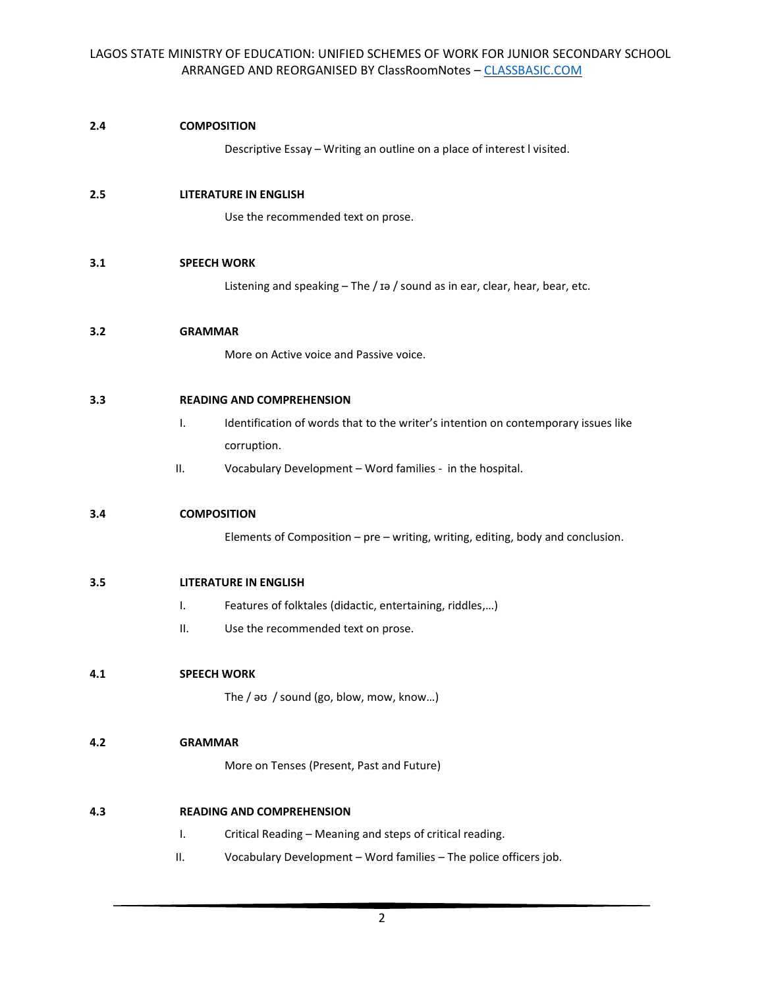| 2.4 |                | <b>COMPOSITION</b>                                                                 |
|-----|----------------|------------------------------------------------------------------------------------|
|     |                | Descriptive Essay - Writing an outline on a place of interest I visited.           |
| 2.5 |                | <b>LITERATURE IN ENGLISH</b>                                                       |
|     |                | Use the recommended text on prose.                                                 |
| 3.1 |                | <b>SPEECH WORK</b>                                                                 |
|     |                | Listening and speaking - The / Ia / sound as in ear, clear, hear, bear, etc.       |
| 3.2 | <b>GRAMMAR</b> |                                                                                    |
|     |                | More on Active voice and Passive voice.                                            |
| 3.3 |                | <b>READING AND COMPREHENSION</b>                                                   |
|     | I.             | Identification of words that to the writer's intention on contemporary issues like |
|     |                | corruption.                                                                        |
|     | II.            | Vocabulary Development - Word families - in the hospital.                          |
| 3.4 |                | <b>COMPOSITION</b>                                                                 |
|     |                | Elements of Composition - pre - writing, writing, editing, body and conclusion.    |
| 3.5 |                | <b>LITERATURE IN ENGLISH</b>                                                       |
|     | I.             | Features of folktales (didactic, entertaining, riddles,)                           |
|     | н.             | Use the recommended text on prose.                                                 |
| 4.1 |                | <b>SPEECH WORK</b>                                                                 |
|     |                | The / av / sound (go, blow, mow, know)                                             |
| 4.2 | <b>GRAMMAR</b> |                                                                                    |
|     |                | More on Tenses (Present, Past and Future)                                          |
| 4.3 |                | <b>READING AND COMPREHENSION</b>                                                   |
|     | Τ.             | Critical Reading - Meaning and steps of critical reading.                          |
|     | ΙΙ.            | Vocabulary Development - Word families - The police officers job.                  |
|     |                |                                                                                    |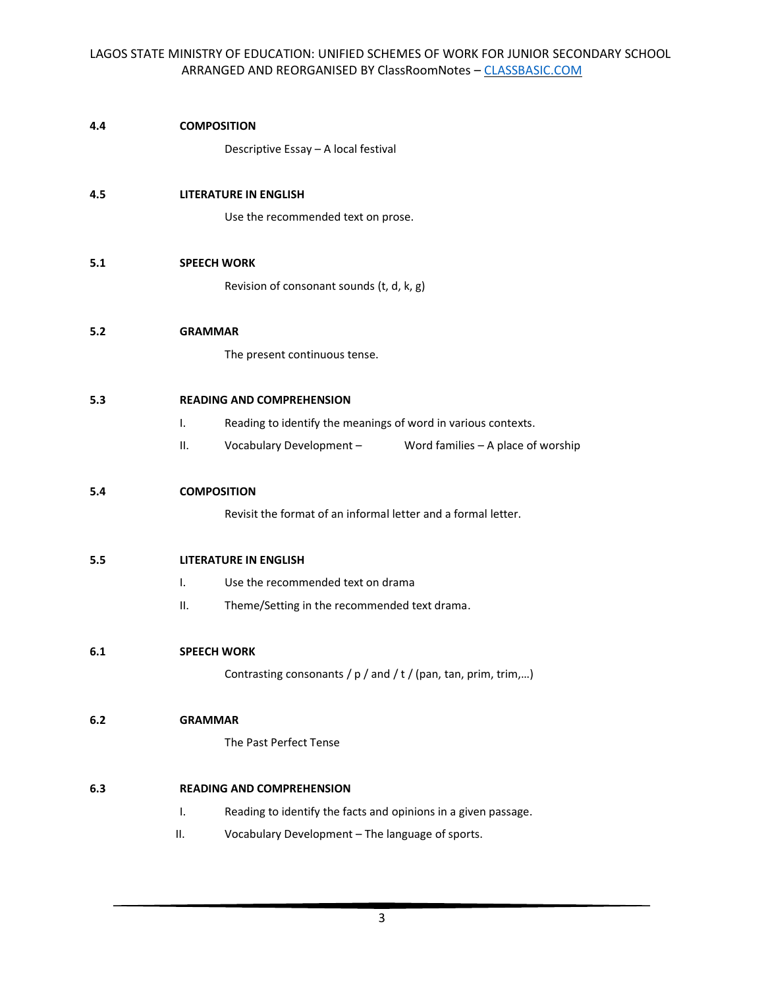| 4.4 | <b>COMPOSITION</b>               |                                                                    |                                                             |  |
|-----|----------------------------------|--------------------------------------------------------------------|-------------------------------------------------------------|--|
|     |                                  | Descriptive Essay - A local festival                               |                                                             |  |
| 4.5 |                                  | <b>LITERATURE IN ENGLISH</b>                                       |                                                             |  |
|     |                                  |                                                                    |                                                             |  |
|     |                                  | Use the recommended text on prose.                                 |                                                             |  |
| 5.1 | <b>SPEECH WORK</b>               |                                                                    |                                                             |  |
|     |                                  | Revision of consonant sounds (t, d, k, g)                          |                                                             |  |
| 5.2 | <b>GRAMMAR</b>                   |                                                                    |                                                             |  |
|     |                                  | The present continuous tense.                                      |                                                             |  |
|     |                                  |                                                                    |                                                             |  |
| 5.3 | <b>READING AND COMPREHENSION</b> |                                                                    |                                                             |  |
|     | T.                               | Reading to identify the meanings of word in various contexts.      |                                                             |  |
|     | н.                               |                                                                    | Vocabulary Development - Word families - A place of worship |  |
| 5.4 | <b>COMPOSITION</b>               |                                                                    |                                                             |  |
|     |                                  | Revisit the format of an informal letter and a formal letter.      |                                                             |  |
|     |                                  |                                                                    |                                                             |  |
| 5.5 |                                  | <b>LITERATURE IN ENGLISH</b>                                       |                                                             |  |
|     | I.                               | Use the recommended text on drama                                  |                                                             |  |
|     | н.                               | Theme/Setting in the recommended text drama.                       |                                                             |  |
| 6.1 | <b>SPEECH WORK</b>               |                                                                    |                                                             |  |
|     |                                  | Contrasting consonants / $p$ / and / $t$ / (pan, tan, prim, trim,) |                                                             |  |
|     |                                  |                                                                    |                                                             |  |
| 6.2 | <b>GRAMMAR</b>                   |                                                                    |                                                             |  |
|     |                                  | The Past Perfect Tense                                             |                                                             |  |
| 6.3 |                                  | <b>READING AND COMPREHENSION</b>                                   |                                                             |  |
|     | I.                               | Reading to identify the facts and opinions in a given passage.     |                                                             |  |
|     | ΙΙ.                              | Vocabulary Development - The language of sports.                   |                                                             |  |
|     |                                  |                                                                    |                                                             |  |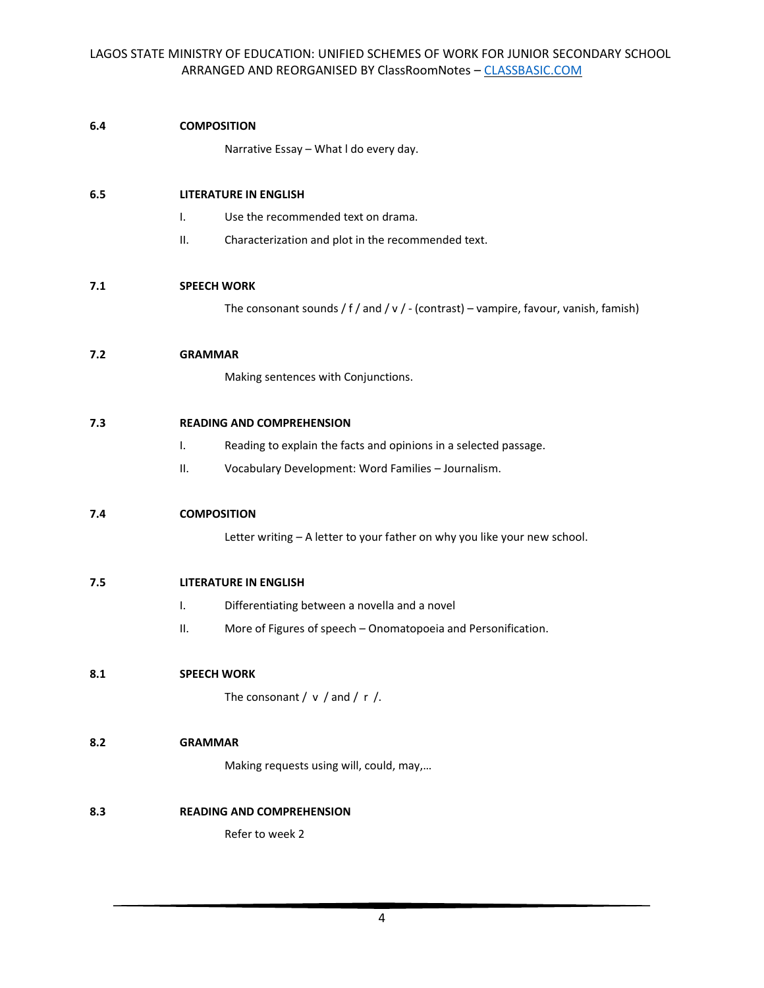### **6.4 COMPOSITION**

Narrative Essay – What l do every day.

### **6.5 LITERATURE IN ENGLISH**

- I. Use the recommended text on drama.
- II. Characterization and plot in the recommended text.

#### **7.1 SPEECH WORK**

The consonant sounds / f / and / v / - (contrast) – vampire, favour, vanish, famish)

#### **7.2 GRAMMAR**

Making sentences with Conjunctions.

#### **7.3 READING AND COMPREHENSION**

- I. Reading to explain the facts and opinions in a selected passage.
- II. Vocabulary Development: Word Families Journalism.

## **7.4 COMPOSITION**

Letter writing – A letter to your father on why you like your new school.

#### **7.5 LITERATURE IN ENGLISH**

- I. Differentiating between a novella and a novel
- II. More of Figures of speech Onomatopoeia and Personification.

## **8.1 SPEECH WORK**

The consonant  $/ v /$  and  $/ r /$ .

# **8.2 GRAMMAR**

Making requests using will, could, may,…

## **8.3 READING AND COMPREHENSION**

Refer to week 2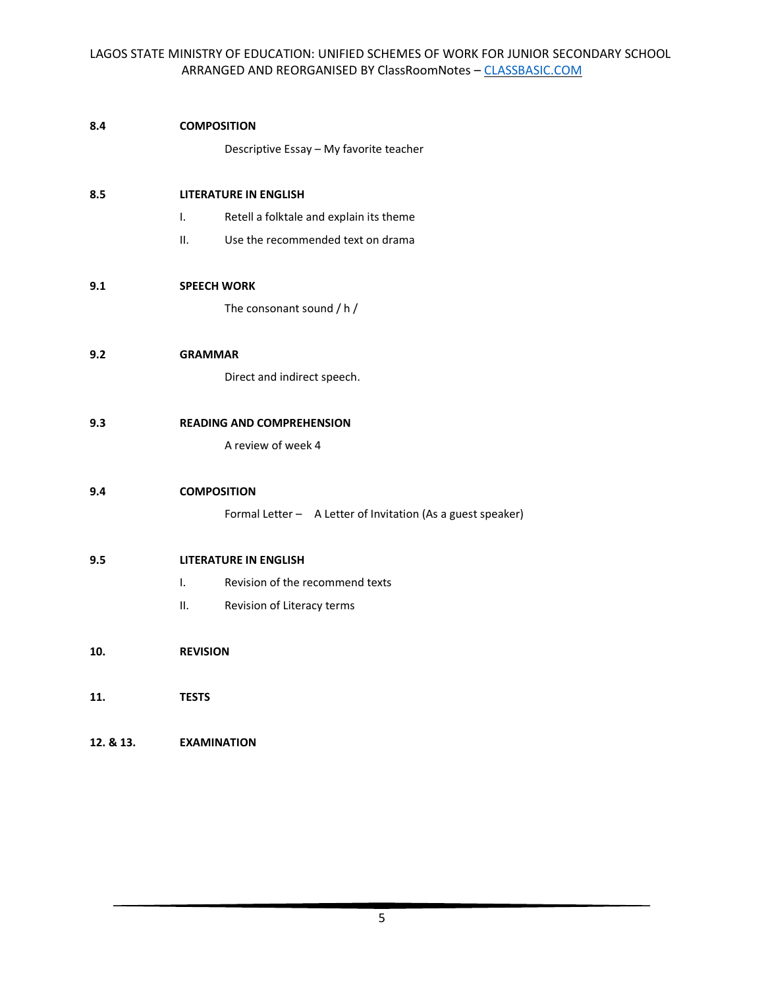| 8.4 | <b>COMPOSITION</b>           |                                                    |  |  |  |
|-----|------------------------------|----------------------------------------------------|--|--|--|
|     |                              | Descriptive Essay - My favorite teacher            |  |  |  |
| 8.5 | <b>LITERATURE IN ENGLISH</b> |                                                    |  |  |  |
|     | I.                           | Retell a folktale and explain its theme            |  |  |  |
|     | II.                          | Use the recommended text on drama                  |  |  |  |
| 9.1 |                              | <b>SPEECH WORK</b>                                 |  |  |  |
|     |                              | The consonant sound / h /                          |  |  |  |
| 9.2 | <b>GRAMMAR</b>               |                                                    |  |  |  |
|     |                              | Direct and indirect speech.                        |  |  |  |
| 9.3 |                              | <b>READING AND COMPREHENSION</b>                   |  |  |  |
|     |                              | A review of week 4                                 |  |  |  |
| 9.4 |                              | <b>COMPOSITION</b>                                 |  |  |  |
|     |                              | Formal Letter - A Letter of Invitation (As a guest |  |  |  |
| 9.5 |                              | <b>LITERATURE IN ENGLISH</b>                       |  |  |  |
|     | I.                           | Revision of the recommend texts                    |  |  |  |
|     | II.                          | Revision of Literacy terms                         |  |  |  |
| 10. | <b>REVISION</b>              |                                                    |  |  |  |
| 11. | <b>TESTS</b>                 |                                                    |  |  |  |
|     |                              |                                                    |  |  |  |

**12. & 13. EXAMINATION** 

speaker)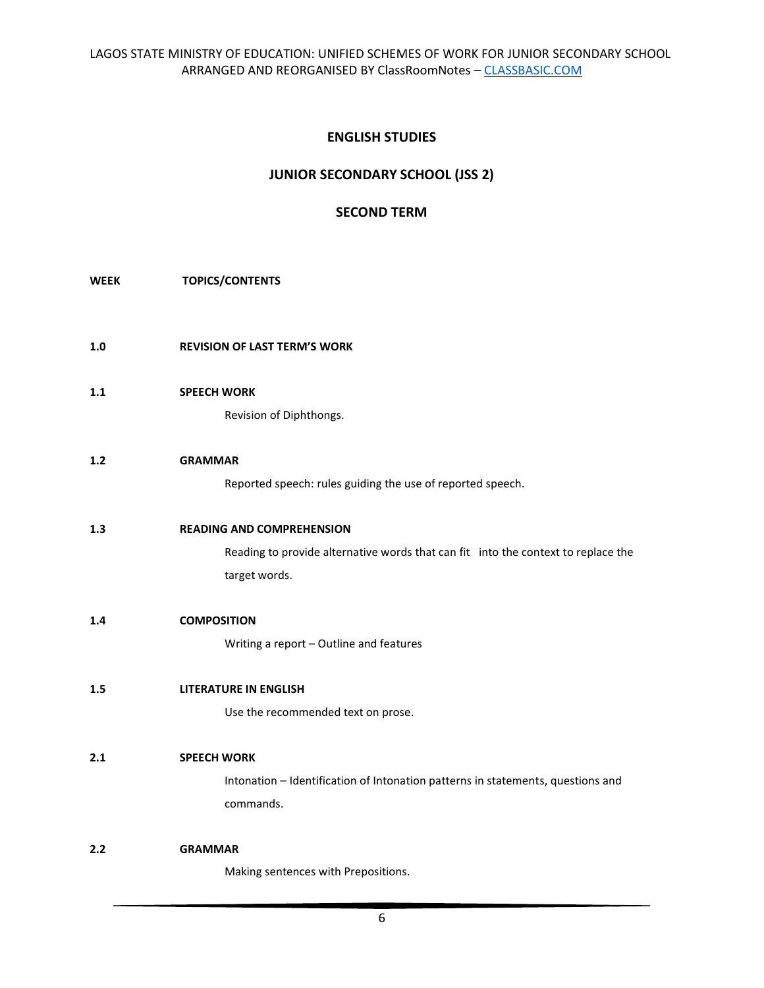# **ENGLISH STUDIES**

# **JUNIOR SECONDARY SCHOOL (JSS 2)**

# **SECOND TERM**

#### **WEEK TOPICS/CONTENTS**

- **1.0 REVISION OF LAST TERM'S WORK**
- **1.1 SPEECH WORK**

Revision of Diphthongs.

#### **1.2 GRAMMAR**

Reported speech: rules guiding the use of reported speech.

# **1.3 READING AND COMPREHENSION**

Reading to provide alternative words that can fit into the context to replace the target words.

#### **1.4 COMPOSITION**

Writing a report – Outline and features

#### **1.5 LITERATURE IN ENGLISH**

Use the recommended text on prose.

# **2.1 SPEECH WORK**

Intonation – Identification of Intonation patterns in statements, questions and commands.

# **2.2 GRAMMAR**

Making sentences with Prepositions.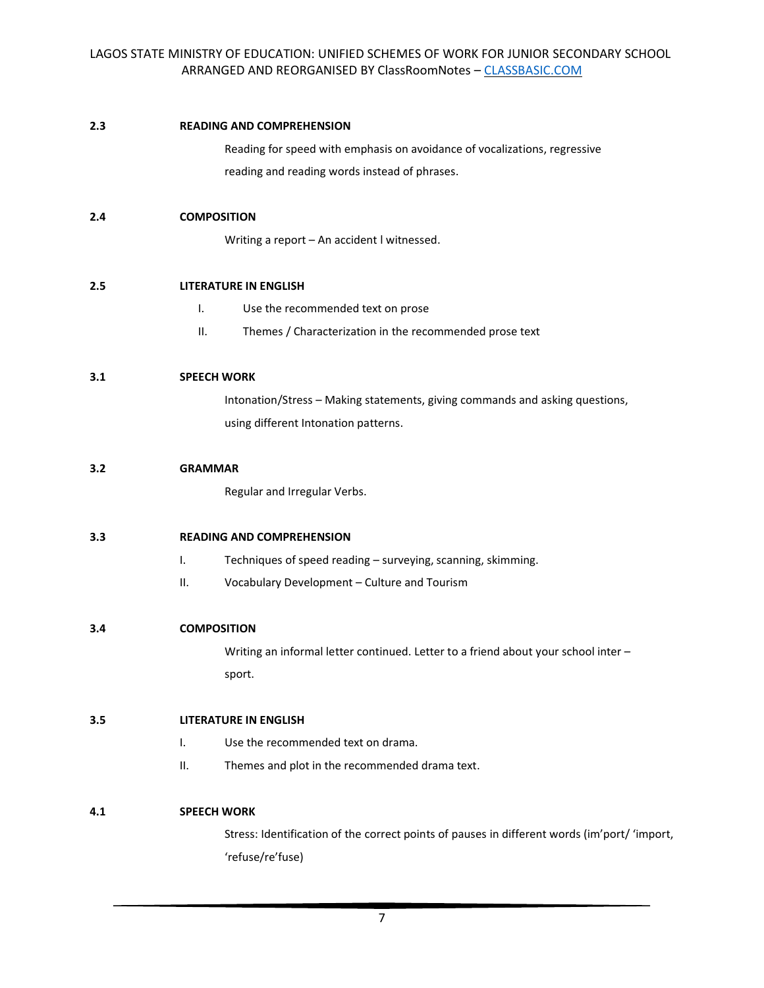#### **2.3 READING AND COMPREHENSION**

Reading for speed with emphasis on avoidance of vocalizations, regressive reading and reading words instead of phrases.

## **2.4 COMPOSITION**

Writing a report – An accident l witnessed.

# **2.5 LITERATURE IN ENGLISH**

- I. Use the recommended text on prose
- II. Themes / Characterization in the recommended prose text

## **3.1 SPEECH WORK**

Intonation/Stress – Making statements, giving commands and asking questions, using different Intonation patterns.

#### **3.2 GRAMMAR**

Regular and Irregular Verbs.

## **3.3 READING AND COMPREHENSION**

- I. Techniques of speed reading surveying, scanning, skimming.
- II. Vocabulary Development Culture and Tourism

## **3.4 COMPOSITION**

Writing an informal letter continued. Letter to a friend about your school inter – sport.

# **3.5 LITERATURE IN ENGLISH**

- I. Use the recommended text on drama.
- II. Themes and plot in the recommended drama text.

## **4.1 SPEECH WORK**

Stress: Identification of the correct points of pauses in different words (im'port/ 'import, 'refuse/re'fuse)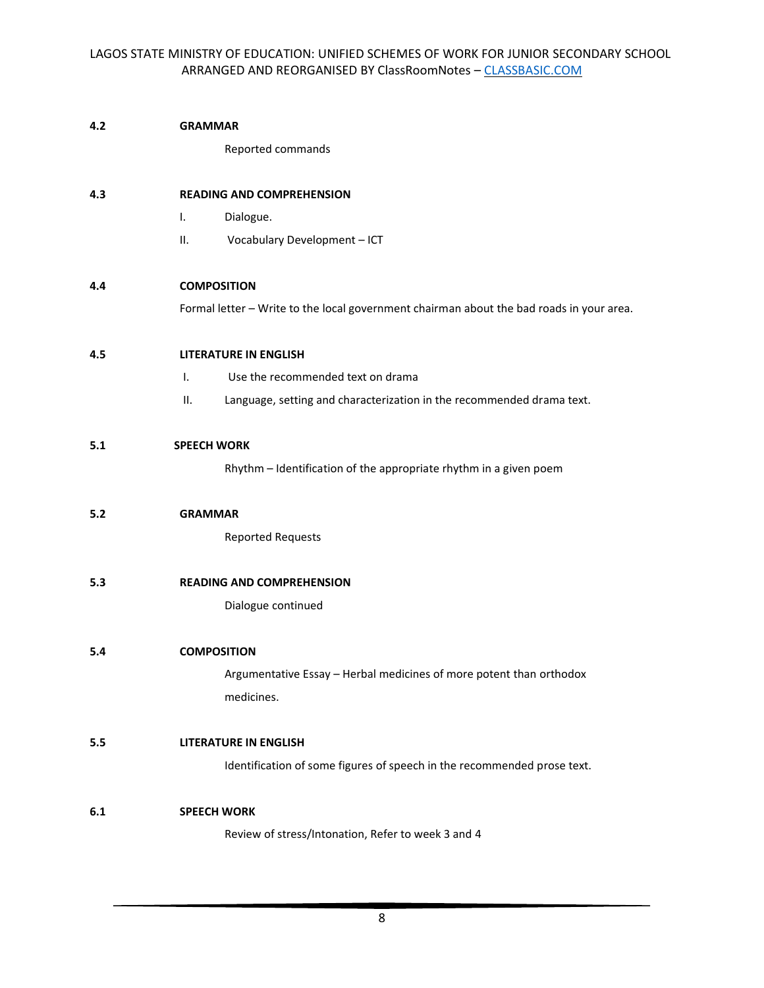#### **4.2 GRAMMAR**

Reported commands

### **4.3 READING AND COMPREHENSION**

- I. Dialogue.
- II. Vocabulary Development ICT

#### **4.4 COMPOSITION**

Formal letter – Write to the local government chairman about the bad roads in your area.

#### **4.5 LITERATURE IN ENGLISH**

- I. Use the recommended text on drama
- II. Language, setting and characterization in the recommended drama text.

# **5.1 SPEECH WORK**

Rhythm – Identification of the appropriate rhythm in a given poem

#### **5.2 GRAMMAR**

Reported Requests

### **5.3 READING AND COMPREHENSION**

Dialogue continued

## **5.4 COMPOSITION**

Argumentative Essay – Herbal medicines of more potent than orthodox medicines.

# **5.5 LITERATURE IN ENGLISH**

Identification of some figures of speech in the recommended prose text.

## **6.1 SPEECH WORK**

Review of stress/Intonation, Refer to week 3 and 4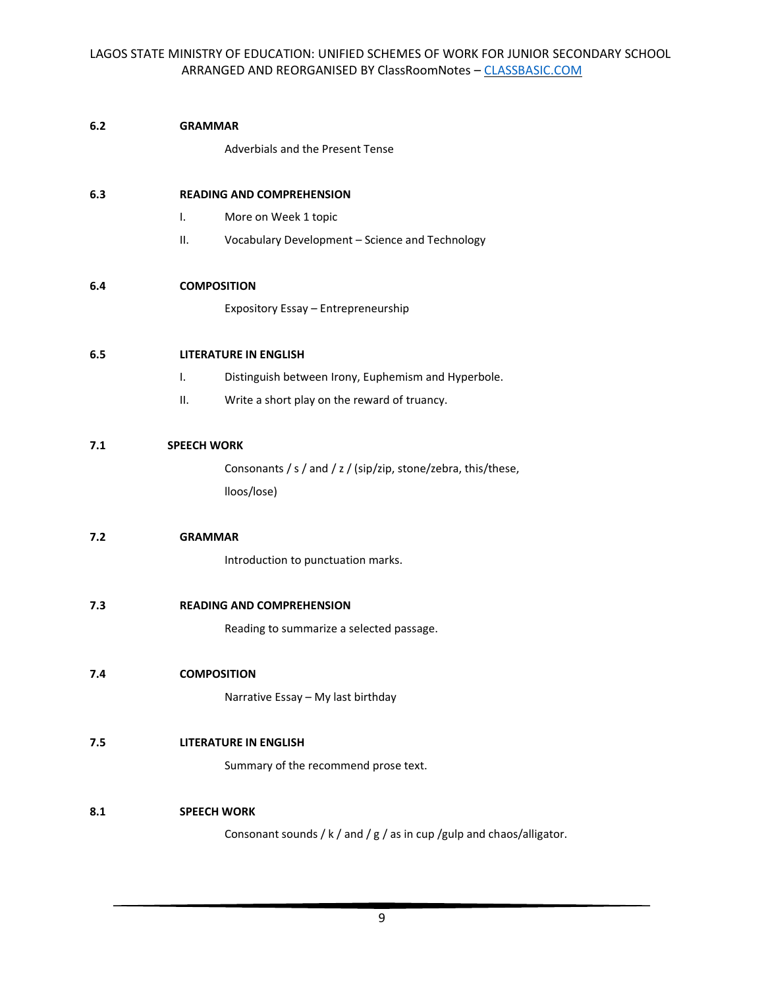#### **6.2 GRAMMAR**

Adverbials and the Present Tense

## **6.3 READING AND COMPREHENSION**

- I. More on Week 1 topic
- II. Vocabulary Development Science and Technology

#### **6.4 COMPOSITION**

Expository Essay – Entrepreneurship

#### **6.5 LITERATURE IN ENGLISH**

- I. Distinguish between Irony, Euphemism and Hyperbole.
- II. Write a short play on the reward of truancy.

# **7.1 SPEECH WORK**

Consonants / s / and / z / (sip/zip, stone/zebra, this/these, lloos/lose)

### **7.2 GRAMMAR**

Introduction to punctuation marks.

**7.3 READING AND COMPREHENSION** 

Reading to summarize a selected passage.

# **7.4 COMPOSITION**

Narrative Essay – My last birthday

# **7.5 LITERATURE IN ENGLISH**

Summary of the recommend prose text.

# **8.1 SPEECH WORK**

Consonant sounds / k / and / g / as in cup /gulp and chaos/alligator.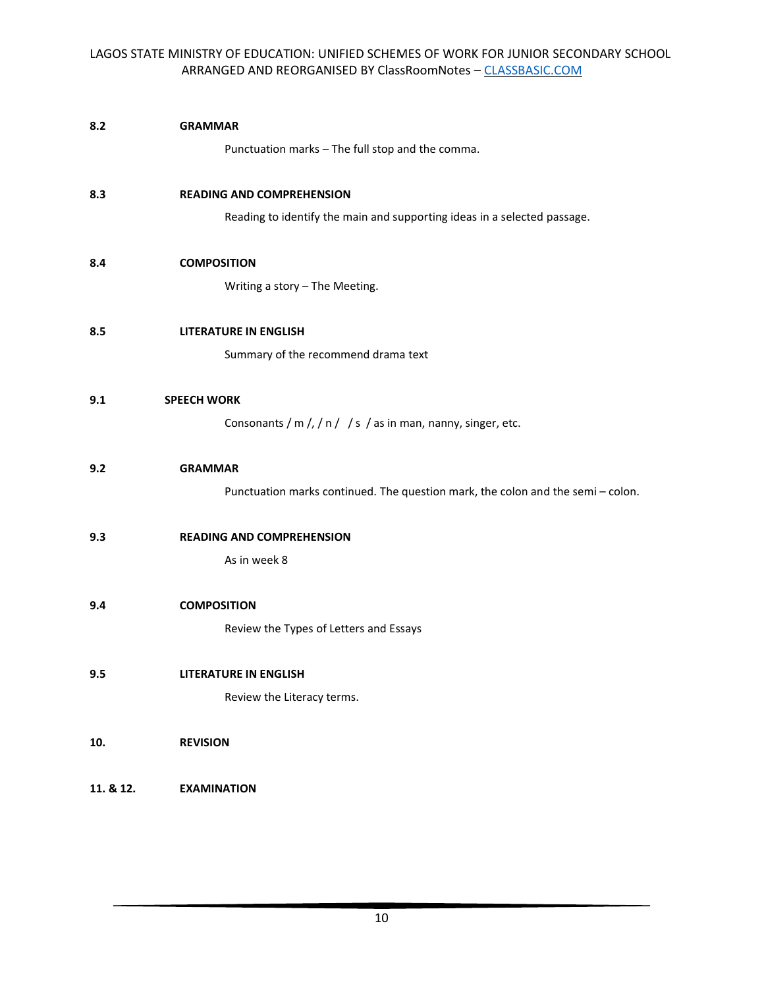| 8.2       | <b>GRAMMAR</b>                                                                  |
|-----------|---------------------------------------------------------------------------------|
|           | Punctuation marks - The full stop and the comma.                                |
| 8.3       | <b>READING AND COMPREHENSION</b>                                                |
|           | Reading to identify the main and supporting ideas in a selected passage.        |
| 8.4       | <b>COMPOSITION</b>                                                              |
|           | Writing a story - The Meeting.                                                  |
| 8.5       | <b>LITERATURE IN ENGLISH</b>                                                    |
|           | Summary of the recommend drama text                                             |
| 9.1       | <b>SPEECH WORK</b>                                                              |
|           | Consonants / m /, / n / / s / as in man, nanny, singer, etc.                    |
| 9.2       | <b>GRAMMAR</b>                                                                  |
|           | Punctuation marks continued. The question mark, the colon and the semi - colon. |
| 9.3       | <b>READING AND COMPREHENSION</b>                                                |
|           | As in week 8                                                                    |
| 9.4       | <b>COMPOSITION</b>                                                              |
|           | Review the Types of Letters and Essays                                          |
| 9.5       | LITERATURE IN ENGLISH                                                           |
|           | Review the Literacy terms.                                                      |
| 10.       | <b>REVISION</b>                                                                 |
|           |                                                                                 |
| 11. & 12. | <b>EXAMINATION</b>                                                              |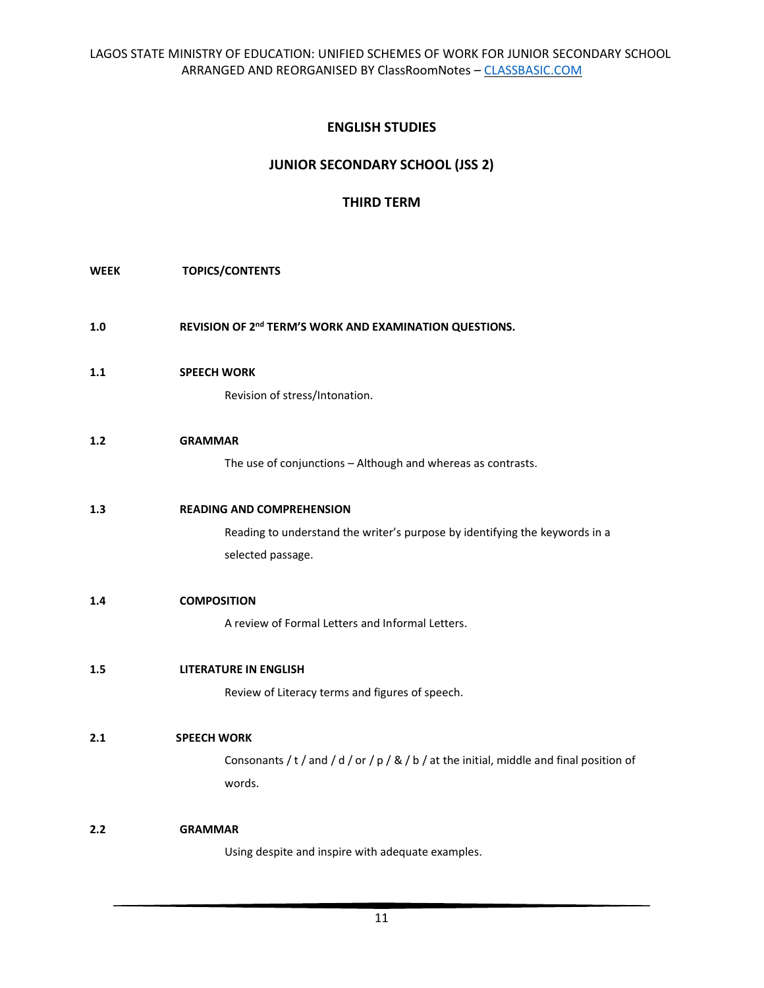# **ENGLISH STUDIES**

# **JUNIOR SECONDARY SCHOOL (JSS 2)**

# **THIRD TERM**

# **WEEK TOPICS/CONTENTS**

1.0 REVISION OF 2<sup>nd</sup> TERM'S WORK AND EXAMINATION QUESTIONS.

# **1.1 SPEECH WORK**

Revision of stress/Intonation.

### **1.2 GRAMMAR**

The use of conjunctions – Although and whereas as contrasts.

# **1.3 READING AND COMPREHENSION**

Reading to understand the writer's purpose by identifying the keywords in a selected passage.

## **1.4 COMPOSITION**

A review of Formal Letters and Informal Letters.

## **1.5 LITERATURE IN ENGLISH**

Review of Literacy terms and figures of speech.

## **2.1 SPEECH WORK**

Consonants / t / and / d / or / p / & / b / at the initial, middle and final position of words.

### **2.2 GRAMMAR**

Using despite and inspire with adequate examples.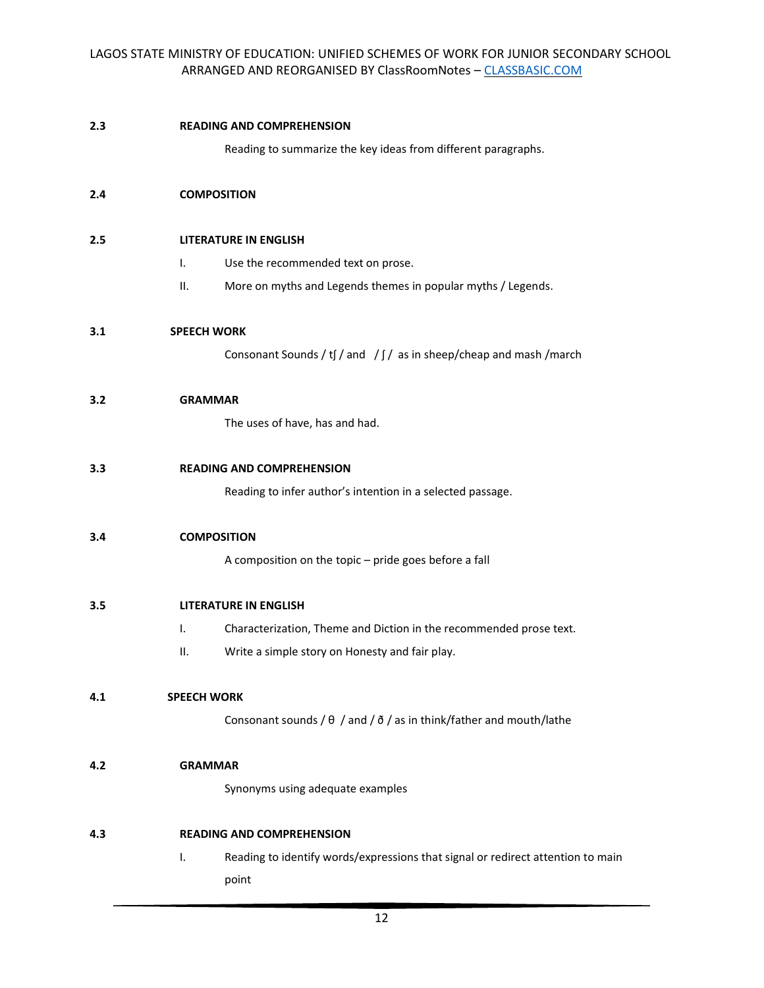#### **2.3 READING AND COMPREHENSION**

Reading to summarize the key ideas from different paragraphs.

### **2.4 COMPOSITION**

#### **2.5 LITERATURE IN ENGLISH**

- I. Use the recommended text on prose.
- II. More on myths and Legends themes in popular myths / Legends.

#### **3.1 SPEECH WORK**

Consonant Sounds / tʃ / and  $\int$  /  $\int$  as in sheep/cheap and mash /march

#### **3.2 GRAMMAR**

The uses of have, has and had.

#### **3.3 READING AND COMPREHENSION**

Reading to infer author's intention in a selected passage.

#### **3.4 COMPOSITION**

A composition on the topic – pride goes before a fall

## **3.5 LITERATURE IN ENGLISH**

- I. Characterization, Theme and Diction in the recommended prose text.
- II. Write a simple story on Honesty and fair play.

#### **4.1 SPEECH WORK**

Consonant sounds /  $\theta$  / and /  $\delta$  / as in think/father and mouth/lathe

#### **4.2 GRAMMAR**

Synonyms using adequate examples

## **4.3 READING AND COMPREHENSION**

I. Reading to identify words/expressions that signal or redirect attention to main point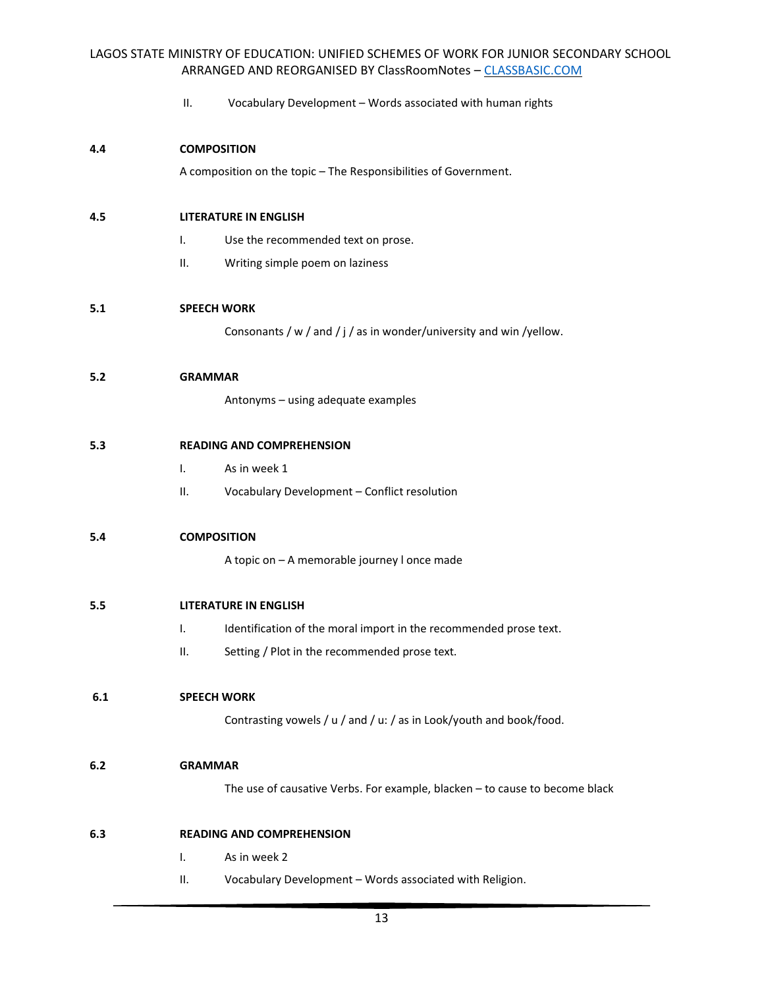II. Vocabulary Development – Words associated with human rights

### **4.4 COMPOSITION**

A composition on the topic – The Responsibilities of Government.

### **4.5 LITERATURE IN ENGLISH**

- I. Use the recommended text on prose.
- II. Writing simple poem on laziness

# **5.1 SPEECH WORK**

Consonants / w / and / j / as in wonder/university and win /yellow.

#### **5.2 GRAMMAR**

Antonyms – using adequate examples

## **5.3 READING AND COMPREHENSION**

- I. As in week 1
- II. Vocabulary Development Conflict resolution

#### **5.4 COMPOSITION**

A topic on – A memorable journey l once made

## **5.5 LITERATURE IN ENGLISH**

- I. Identification of the moral import in the recommended prose text.
- II. Setting / Plot in the recommended prose text.

### **6.1 SPEECH WORK**

Contrasting vowels / u / and / u: / as in Look/youth and book/food.

#### **6.2 GRAMMAR**

The use of causative Verbs. For example, blacken – to cause to become black

## **6.3 READING AND COMPREHENSION**

- I. As in week 2
- II. Vocabulary Development Words associated with Religion.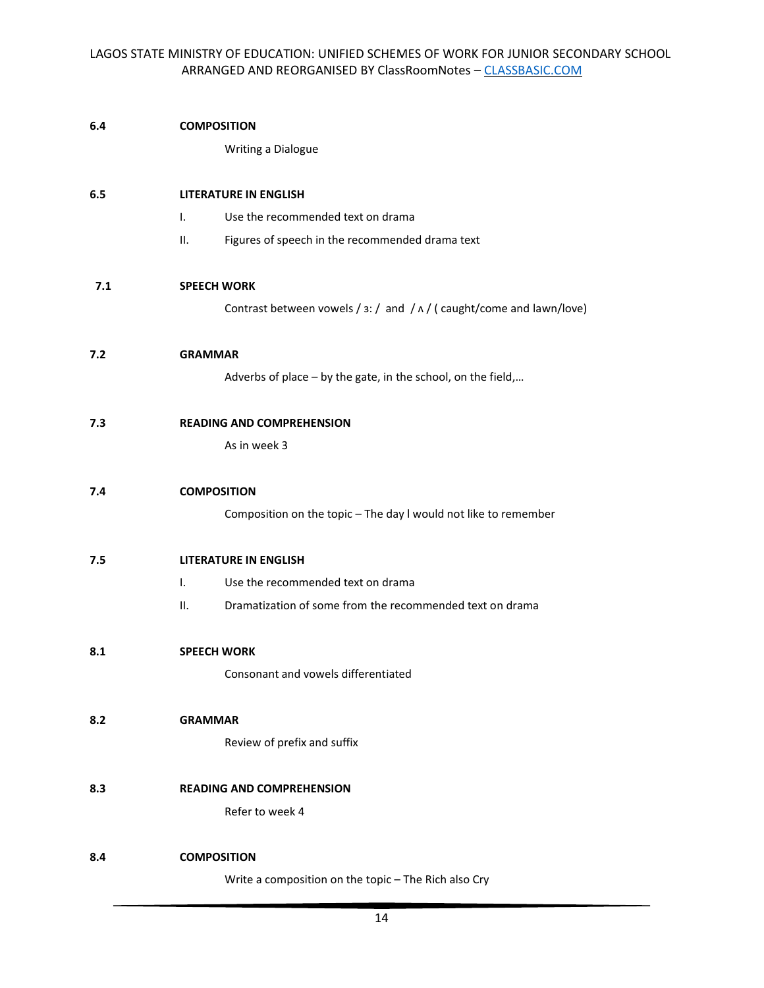# **6.4 COMPOSITION**

Writing a Dialogue

# **6.5 LITERATURE IN ENGLISH**

- I. Use the recommended text on drama
- II. Figures of speech in the recommended drama text

# **7.1 SPEECH WORK**

Contrast between vowels /  $\sin$  /  $\sin$  /  $\sin$  /  $\sin$  /  $\sin$  /  $\sin$  /  $\sin$  /  $\sin$  /  $\sin$  /  $\sin$  /  $\sin$  /  $\sin$  /  $\sin$  /  $\sin$  /  $\sin$  /  $\sin$  /  $\sin$  /  $\sin$  /  $\sin$  /  $\sin$  /  $\sin$  /  $\sin$  /  $\sin$  /  $\sin$  /  $\sin$  /  $\sin$  /  $\sin$  /  $\sin$  /

#### **7.2 GRAMMAR**

Adverbs of place – by the gate, in the school, on the field,…

#### **7.3 READING AND COMPREHENSION**

As in week 3

#### **7.4 COMPOSITION**

Composition on the topic – The day l would not like to remember

#### **7.5 LITERATURE IN ENGLISH**

- I. Use the recommended text on drama
- II. Dramatization of some from the recommended text on drama

## **8.1 SPEECH WORK**

Consonant and vowels differentiated

# **8.2 GRAMMAR**

Review of prefix and suffix

#### **8.3 READING AND COMPREHENSION**

Refer to week 4

## **8.4 COMPOSITION**

Write a composition on the topic – The Rich also Cry